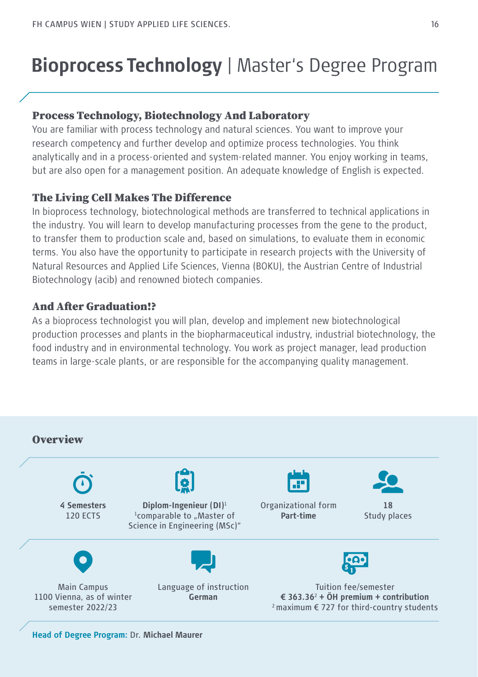# **Bioprocess Technology** | Master's Degree Program

### Process Technology, Biotechnology And Laboratory

You are familiar with process technology and natural sciences. You want to improve your research competency and further develop and optimize process technologies. You think analytically and in a process-oriented and system-related manner. You enjoy working in teams, but are also open for a management position. An adequate knowledge of English is expected.

### The Living Cell Makes The Difference

In bioprocess technology, biotechnological methods are transferred to technical applications in the industry. You will learn to develop manufacturing processes from the gene to the product, to transfer them to production scale and, based on simulations, to evaluate them in economic terms. You also have the opportunity to participate in research projects with the University of Natural Resources and Applied Life Sciences, Vienna (BOKU), the Austrian Centre of Industrial Biotechnology (acib) and renowned biotech companies.

### And After Graduation!?

As a bioprocess technologist you will plan, develop and implement new biotechnological production processes and plants in the biopharmaceutical industry, industrial biotechnology, the food industry and in environmental technology. You work as project manager, lead production teams in large-scale plants, or are responsible for the accompanying quality management.



**Head of Degree Program:** Dr. **Michael Maurer**